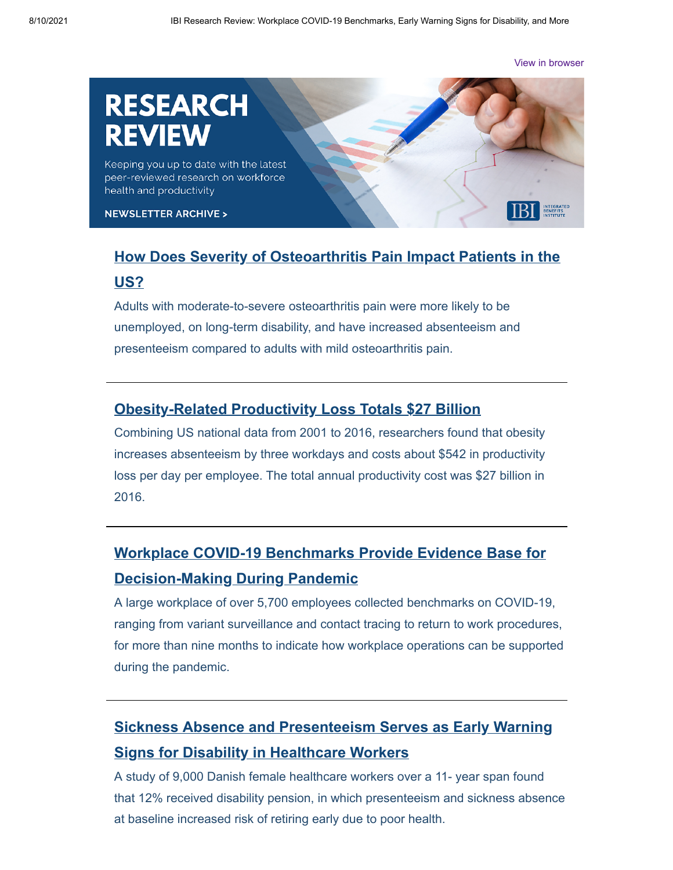[View in browser](http://email.ibiweb.org/ibi-research-review-workplace-covid-19-benchmarks-early-warning-signs-for-disability-and-more?hs_preview=rQvGxmeE-52485165207)

# **RESEARCH**

Keeping you up to date with the latest peer-reviewed research on workforce health and productivity

**NEWSLETTER ARCHIVE >** 

# **[How Does Severity of Osteoarthritis Pain Impact Patients in the](https://www.dovepress.com/moderate-to-severe-osteoarthritis-pain-and-its-impact-on-patients-in-t-peer-reviewed-fulltext-article-JPR) US?**

Adults with moderate-to-severe osteoarthritis pain were more likely to be unemployed, on long-term disability, and have increased absenteeism and presenteeism compared to adults with mild osteoarthritis pain.

#### **[Obesity-Related Productivity Loss Totals \\$27 Billion](https://journals.lww.com/joem/Fulltext/2021/07000/Job_Absenteeism_Costs_of_Obesity_in_the_United.4.aspx)**

Combining US national data from 2001 to 2016, researchers found that obesity increases absenteeism by three workdays and costs about \$542 in productivity loss per day per employee. The total annual productivity cost was \$27 billion in 2016.

# **[Workplace COVID-19 Benchmarks Provide Evidence Base for](https://journals.lww.com/joem/Fulltext/2021/07000/Benchmarking_SARS_CoV_2_Infection_in_the_Workplace.2.aspx) Decision-Making During Pandemic**

A large workplace of over 5,700 employees collected benchmarks on COVID-19, ranging from variant surveillance and contact tracing to return to work procedures, for more than nine months to indicate how workplace operations can be supported during the pandemic.

# **[Sickness Absence and Presenteeism Serves as Early Warning](https://www.sciencedirect.com/science/article/abs/pii/S0091743521001493) Signs for Disability in Healthcare Workers**

A study of 9,000 Danish female healthcare workers over a 11- year span found that 12% received disability pension, in which presenteeism and sickness absence at baseline increased risk of retiring early due to poor health.